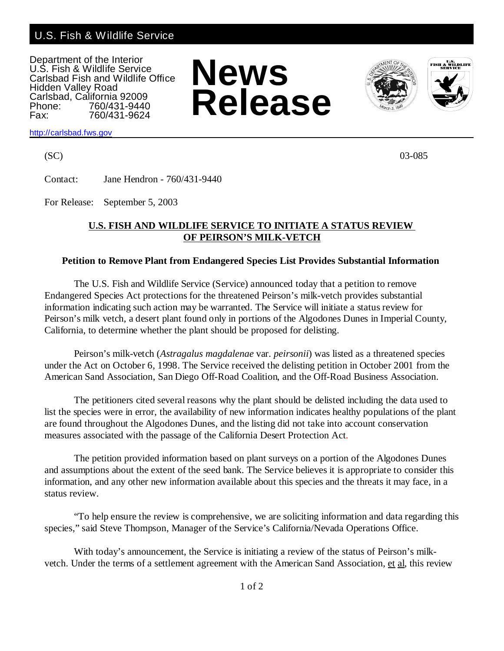## U.S. Fish & Wildlife Service

Department of the Interior U.S. Fish & Wildlife Service Carlsbad Fish and Wildlife Office Hidden Valley Road Carlsbad, California 92009<br>Phone: 760/431-9440 Phone: 760/431-9440<br>Fax: 760/431-9624 Fax: 760/431-9624







<http://carlsbad.fws.gov>

 $(SC)$  03-085

Contact: Jane Hendron - 760/431-9440

For Release: September 5, 2003

## **U.S. FISH AND WILDLIFE SERVICE TO INITIATE A STATUS REVIEW OF PEIRSON'S MILK-VETCH**

## **Petition to Remove Plant from Endangered Species List Provides Substantial Information**

The U.S. Fish and Wildlife Service (Service) announced today that a petition to remove Endangered Species Act protections for the threatened Peirson's milk-vetch provides substantial information indicating such action may be warranted. The Service will initiate a status review for Peirson's milk vetch, a desert plant found only in portions of the Algodones Dunes in Imperial County, California, to determine whether the plant should be proposed for delisting.

Peirson's milk-vetch (*Astragalus magdalenae* var. *peirsonii*) was listed as a threatened species under the Act on October 6, 1998. The Service received the delisting petition in October 2001 from the American Sand Association, San Diego Off-Road Coalition, and the Off-Road Business Association.

The petitioners cited several reasons why the plant should be delisted including the data used to list the species were in error, the availability of new information indicates healthy populations of the plant are found throughout the Algodones Dunes, and the listing did not take into account conservation measures associated with the passage of the California Desert Protection Act.

The petition provided information based on plant surveys on a portion of the Algodones Dunes and assumptions about the extent of the seed bank. The Service believes it is appropriate to consider this information, and any other new information available about this species and the threats it may face, in a status review.

"To help ensure the review is comprehensive, we are soliciting information and data regarding this species," said Steve Thompson, Manager of the Service's California/Nevada Operations Office.

With today's announcement, the Service is initiating a review of the status of Peirson's milkvetch. Under the terms of a settlement agreement with the American Sand Association, et al, this review